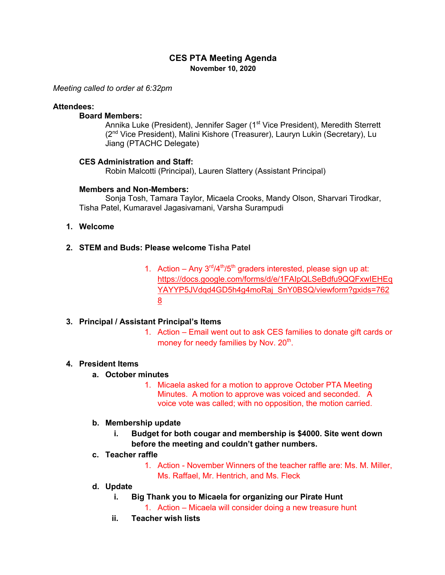# **CES PTA Meeting Agenda November 10, 2020**

*Meeting called to order at 6:32pm*

#### **Attendees:**

### **Board Members:**

Annika Luke (President), Jennifer Sager (1<sup>st</sup> Vice President), Meredith Sterrett (2<sup>nd</sup> Vice President), Malini Kishore (Treasurer), Lauryn Lukin (Secretary), Lu Jiang (PTACHC Delegate)

### **CES Administration and Staff:**

Robin Malcotti (Principal), Lauren Slattery (Assistant Principal)

### **Members and Non-Members:**

Sonja Tosh, Tamara Taylor, Micaela Crooks, Mandy Olson, Sharvari Tirodkar, Tisha Patel, Kumaravel Jagasivamani, Varsha Surampudi

### **1. Welcome**

## **2. STEM and Buds: Please welcome Tisha Patel**

1. Action – Any  $3<sup>rd</sup>/4<sup>th</sup>/5<sup>th</sup>$  graders interested, please sign up at: https://docs.google.com/forms/d/e/1FAIpQLSeBdfu9QQFxwIEHEq YAYYP5JVdqd4GD5h4g4moRaj SnY0BSQ/viewform?gxids=762 8

## **3. Principal / Assistant Principal's Items**

1. Action – Email went out to ask CES families to donate gift cards or money for needy families by Nov. 20<sup>th</sup>.

## **4. President Items**

## **a. October minutes**

1. Micaela asked for a motion to approve October PTA Meeting Minutes. A motion to approve was voiced and seconded. A voice vote was called; with no opposition, the motion carried.

#### **b. Membership update**

**i. Budget for both cougar and membership is \$4000. Site went down before the meeting and couldn't gather numbers.**

# **c. Teacher raffle**

1. Action - November Winners of the teacher raffle are: Ms. M. Miller, Ms. Raffael, Mr. Hentrich, and Ms. Fleck

#### **d. Update**

- **i. Big Thank you to Micaela for organizing our Pirate Hunt**
	- 1. Action Micaela will consider doing a new treasure hunt
- **ii. Teacher wish lists**